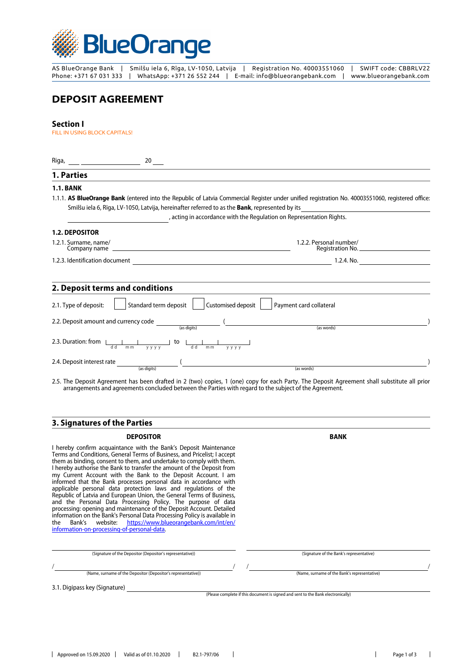

AS BlueOrange Bank | Smilšu iela 6, Rīga, LV-1050, Latvija | Registration No. 40003551060 | SWIFT code: CBBRLV22 Phone: +371 67 031 333 | WhatsApp: +371 26 552 244 | E-mail: info@blueorangebank.com | www.blueorangebank.com

# **DEPOSIT AGREEMENT**

# **Section I**

FILL IN USING BLOCK CAPITALS!

| 20<br>Riga, ___ ____________________                                                                 |                                                                                                                                                   |
|------------------------------------------------------------------------------------------------------|---------------------------------------------------------------------------------------------------------------------------------------------------|
| 1. Parties                                                                                           |                                                                                                                                                   |
| <b>1.1. BANK</b>                                                                                     |                                                                                                                                                   |
| Smilšu iela 6, Rīga, LV-1050, Latvija, hereinafter referred to as the Bank, represented by its       | 1.1.1. AS BlueOrange Bank (entered into the Republic of Latvia Commercial Register under unified registration No. 40003551060, registered office: |
|                                                                                                      | , acting in accordance with the Regulation on Representation Rights.                                                                              |
| <b>1.2. DEPOSITOR</b>                                                                                |                                                                                                                                                   |
| 1.2.1. Surname, name/<br><u> 1989 - Andrea Stadt Britain, amerikansk politiker (</u><br>Company name | 1.2.2. Personal number/                                                                                                                           |
| 1.2.3. Identification document                                                                       | 1.2.4. No.                                                                                                                                        |
| 2. Deposit terms and conditions                                                                      |                                                                                                                                                   |
| Standard term deposit<br>2.1. Type of deposit:<br>Customised deposit                                 | Payment card collateral                                                                                                                           |
| 2.2. Deposit amount and currency code<br>$\overline{\phantom{a}}$ (as digits)                        | (as words)                                                                                                                                        |
| 2.3. Duration: from<br>to<br>d d<br>dd<br>m <sub>m</sub><br>y y y y<br>m <sub>m</sub><br>y y y y     |                                                                                                                                                   |
| 2.4. Deposit interest rate<br>(as digits)                                                            | (as words)                                                                                                                                        |

2.5. The Deposit Agreement has been drafted in 2 (two) copies, 1 (one) copy for each Party. The Deposit Agreement shall substitute all prior arrangements and agreements concluded between the Parties with regard to the subject of the Agreement.

# **3. Signatures of the Parties**

#### **DEPOSITOR BANK**

I hereby confirm acquaintance with the Bank's Deposit Maintenance Terms and Conditions, General Terms of Business, and Pricelist; I accept them as binding, consent to them, and undertake to comply with them. I hereby authorise the Bank to transfer the amount of the Deposit from my Current Account with the Bank to the Deposit Account. I am informed that the Bank processes personal data in accordance with applicable personal data protection laws and regulations of the Republic of Latvia and European Union, the General Terms of Business, and the Personal Data Processing Policy. The purpose of data processing: opening and maintenance of the Deposit Account. Detailed information on the Bank's Personal Data Processing Policy is available in the Bank's website: [https://www.blueorangebank.com/int/en/](https://www.blueorangebank.com/int/en/information-on-processing-of-personal-data) [information-on-processing-of-personal-data](https://www.blueorangebank.com/int/en/information-on-processing-of-personal-data).

(Name, surname of the Depositor (Depositor's representative)) (Name, surname of the Bank's representative)  $\frac{1}{2}$  /  $\frac{1}{2}$  /  $\frac{1}{2}$  /  $\frac{1}{2}$  /  $\frac{1}{2}$  /  $\frac{1}{2}$  /  $\frac{1}{2}$  /  $\frac{1}{2}$  /  $\frac{1}{2}$  /  $\frac{1}{2}$  /  $\frac{1}{2}$  /  $\frac{1}{2}$  /  $\frac{1}{2}$  /  $\frac{1}{2}$  /  $\frac{1}{2}$  /  $\frac{1}{2}$  /  $\frac{1}{2}$  /  $\frac{1}{2}$  /  $\frac{1$ (Signature of the Depositor (Depositor's representative)) (Signature of the Bank's representative) 3.1. Digipass key (Signature)

(Please complete if this document is signed and sent to the Bank electronically)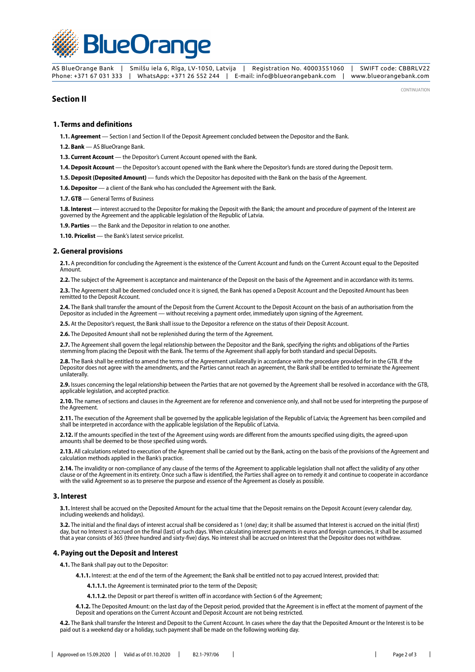

AS BlueOrange Bank | Smilšu iela 6, Rīga, LV-1050, Latvija | Registration No. 40003551060 | SWIFT code: CBBRLV22 Phone: +371 67 031 333 | WhatsApp: +371 26 552 244 | E-mail: info@blueorangebank.com | www.blueorangebank.com

# **Section II**

CONTINUATION

#### **1. Terms and definitions**

**1.1. Agreement** — Section I and Section II of the Deposit Agreement concluded between the Depositor and the Bank.

**1.2. Bank** — AS BlueOrange Bank.

**1.3. Current Account** — the Depositor's Current Account opened with the Bank.

**1.4. Deposit Account** — the Depositor's account opened with the Bank where the Depositor's funds are stored during the Deposit term.

**1.5. Deposit (Deposited Amount)** — funds which the Depositor has deposited with the Bank on the basis of the Agreement.

1.6. Depositor - a client of the Bank who has concluded the Agreement with the Bank.

**1.7. GTB** — General Terms of Business

**1.8. Interest** — interest accrued to the Depositor for making the Deposit with the Bank; the amount and procedure of payment of the Interest are governed by the Agreement and the applicable legislation of the Republic of Latvia.

**1.9. Parties** — the Bank and the Depositor in relation to one another.

**1.10. Pricelist** — the Bank's latest service pricelist.

#### **2. General provisions**

**2.1.** A precondition for concluding the Agreement is the existence of the Current Account and funds on the Current Account equal to the Deposited Amount.

**2.2.** The subject of the Agreement is acceptance and maintenance of the Deposit on the basis of the Agreement and in accordance with its terms.

**2.3.** The Agreement shall be deemed concluded once it is signed, the Bank has opened a Deposit Account and the Deposited Amount has been remitted to the Deposit Account.

**2.4.** The Bank shall transfer the amount of the Deposit from the Current Account to the Deposit Account on the basis of an authorisation from the Depositor as included in the Agreement — without receiving a payment order, immediately upon signing of the Agreement.

**2.5.** At the Depositor's request, the Bank shall issue to the Depositor a reference on the status of their Deposit Account.

**2.6.** The Deposited Amount shall not be replenished during the term of the Agreement.

**2.7.** The Agreement shall govern the legal relationship between the Depositor and the Bank, specifying the rights and obligations of the Parties stemming from placing the Deposit with the Bank. The terms of the Agreement shall apply for both standard and special Deposits.

**2.8.** The Bank shall be entitled to amend the terms of the Agreement unilaterally in accordance with the procedure provided for in the GTB. If the Depositor does not agree with the amendments, and the Parties cannot reach an agreement, the Bank shall be entitled to terminate the Agreement unilaterally.

**2.9.** Issues concerning the legal relationship between the Parties that are not governed by the Agreement shall be resolved in accordance with the GTB, applicable legislation, and accepted practice.

**2.10.** The names of sections and clauses in the Agreement are for reference and convenience only, and shall not be used for interpreting the purpose of the Agreement.

**2.11.** The execution of the Agreement shall be governed by the applicable legislation of the Republic of Latvia; the Agreement has been compiled and shall be interpreted in accordance with the applicable legislation of the Republic of Latvia.

**2.12.** If the amounts specified in the text of the Agreement using words are different from the amounts specified using digits, the agreed-upon amounts shall be deemed to be those specified using words.

**2.13.** All calculations related to execution of the Agreement shall be carried out by the Bank, acting on the basis of the provisions of the Agreement and calculation methods applied in the Bank's practice.

**2.14.** The invalidity or non-compliance of any clause of the terms of the Agreement to applicable legislation shall not affect the validity of any other clause or of the Agreement in its entirety. Once such a flaw is identified, the Parties shall agree on to remedy it and continue to cooperate in accordance with the valid Agreement so as to preserve the purpose and essence of the Agreement as closely as possible.

#### **3. Interest**

**3.1.** Interest shall be accrued on the Deposited Amount for the actual time that the Deposit remains on the Deposit Account (every calendar day, including weekends and holidays).

**3.2.** The initial and the final days of interest accrual shall be considered as 1 (one) day; it shall be assumed that Interest is accrued on the initial (first) day, but no Interest is accrued on the final (last) of such days. When calculating interest payments in euros and foreign currencies, it shall be assumed that a year consists of 365 (three hundred and sixty-five) days. No interest shall be accrued on Interest that the Depositor does not withdraw.

#### **4. Paying out the Deposit and Interest**

**4.1.** The Bank shall pay out to the Depositor:

**4.1.1.** Interest: at the end of the term of the Agreement; the Bank shall be entitled not to pay accrued Interest, provided that:

**4.1.1.1.** the Agreement is terminated prior to the term of the Deposit;

**4.1.1.2.** the Deposit or part thereof is written off in accordance with Section 6 of the Agreement;

**4.1.2.** The Deposited Amount: on the last day of the Deposit period, provided that the Agreement is in effect at the moment of payment of the Deposit and operations on the Current Account and Deposit Account are not being restricted.

**4.2.** The Bank shall transfer the Interest and Deposit to the Current Account. In cases where the day that the Deposited Amount or the Interest is to be paid out is a weekend day or a holiday, such payment shall be made on the following working day.